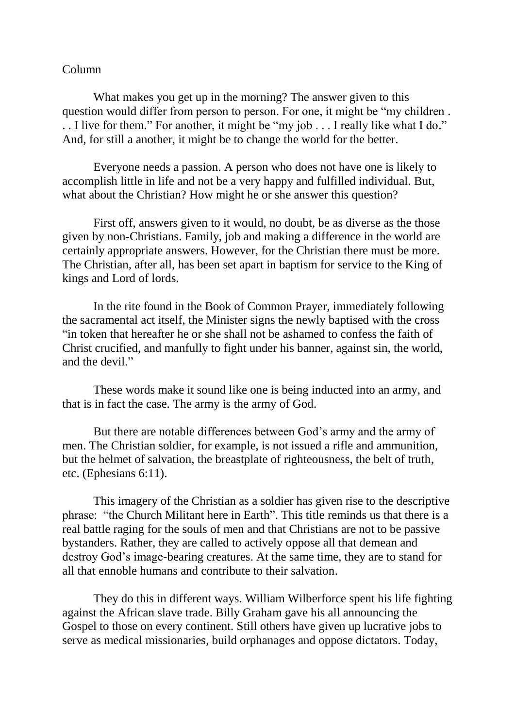## Column

What makes you get up in the morning? The answer given to this question would differ from person to person. For one, it might be "my children . . . I live for them." For another, it might be "my job . . . I really like what I do." And, for still a another, it might be to change the world for the better.

Everyone needs a passion. A person who does not have one is likely to accomplish little in life and not be a very happy and fulfilled individual. But, what about the Christian? How might he or she answer this question?

First off, answers given to it would, no doubt, be as diverse as the those given by non-Christians. Family, job and making a difference in the world are certainly appropriate answers. However, for the Christian there must be more. The Christian, after all, has been set apart in baptism for service to the King of kings and Lord of lords.

In the rite found in the Book of Common Prayer, immediately following the sacramental act itself, the Minister signs the newly baptised with the cross "in token that hereafter he or she shall not be ashamed to confess the faith of Christ crucified, and manfully to fight under his banner, against sin, the world, and the devil."

These words make it sound like one is being inducted into an army, and that is in fact the case. The army is the army of God.

But there are notable differences between God's army and the army of men. The Christian soldier, for example, is not issued a rifle and ammunition, but the helmet of salvation, the breastplate of righteousness, the belt of truth, etc. (Ephesians 6:11).

This imagery of the Christian as a soldier has given rise to the descriptive phrase: "the Church Militant here in Earth". This title reminds us that there is a real battle raging for the souls of men and that Christians are not to be passive bystanders. Rather, they are called to actively oppose all that demean and destroy God's image-bearing creatures. At the same time, they are to stand for all that ennoble humans and contribute to their salvation.

They do this in different ways. William Wilberforce spent his life fighting against the African slave trade. Billy Graham gave his all announcing the Gospel to those on every continent. Still others have given up lucrative jobs to serve as medical missionaries, build orphanages and oppose dictators. Today,